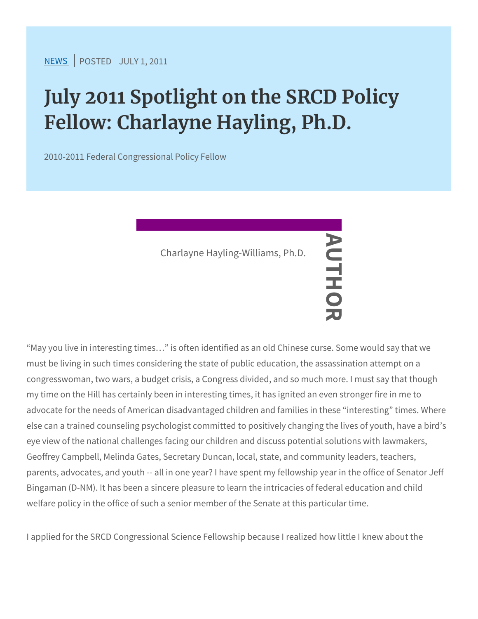$NEW$ SPOSTEDDLY 1, 2011

## July 2011 Spotlight on the SRCD Fellow: Charlayne Hayling, Ph.D.

2010-2011 Federal Congressional Policy Fellow

May you live in interesting times & is often identified as an old Ch must be living in such times considering the state of public education congresswoman, two wars, a budget crisis, a Congress divided, and my time on the Hill has certainly been in interesting times, it has i advocate for the needs of American disadvantaged children and fam else can a trained counseling psychologist committed to positively eye view of the national challenges facing our children and discuss Geoffrey Campbell, Melinda Gates, Secretary Duncan, local, state, parents, advocates, and youth -- all in one year? I have spent my f Bingaman (D-NM). It has been a sincere pleasure to learn the intric welfare policy in the office of such a senior member of the Senate Charlayne Hayling-Williams, Ph.D.<br>
—<br>
—<br>
—<br>
Pentified as<br>
ch times considering the Mate of public

I applied for the SRCD Congressional Science Fellowship because I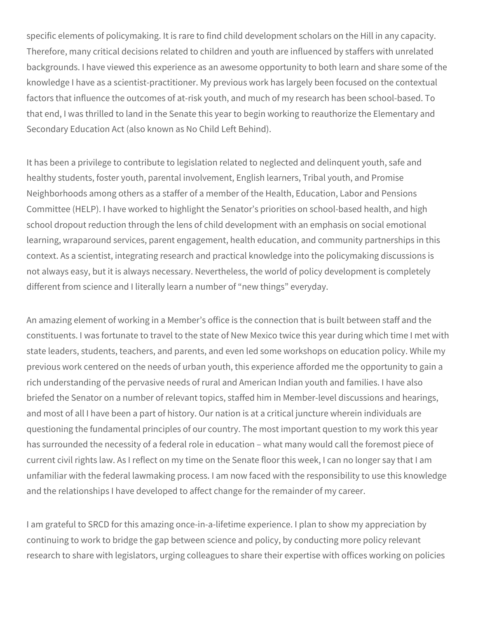specific elements of policymaking. It is rare to find child development scholars on the Hill in any capacity. Therefore, many critical decisions related to children and youth are influenced by staffers with unrelated backgrounds. I have viewed this experience as an awesome opportunity to both learn and share some of the knowledge I have as a scientist-practitioner. My previous work has largely been focused on the contextual factors that influence the outcomes of at-risk youth, and much of my research has been school-based. To that end, I was thrilled to land in the Senate this year to begin working to reauthorize the Elementary and Secondary Education Act (also known as No Child Left Behind).

It has been a privilege to contribute to legislation related to neglected and delinquent youth, safe and healthy students, foster youth, parental involvement, English learners, Tribal youth, and Promise Neighborhoods among others as a staffer of a member of the Health, Education, Labor and Pensions Committee (HELP). I have worked to highlight the Senator's priorities on school-based health, and high school dropout reduction through the lens of child development with an emphasis on social emotional learning, wraparound services, parent engagement, health education, and community partnerships in this context. As a scientist, integrating research and practical knowledge into the policymaking discussions is not always easy, but it is always necessary. Nevertheless, the world of policy development is completely different from science and I literally learn a number of "new things" everyday.

An amazing element of working in a Member's office is the connection that is built between staff and the constituents. I was fortunate to travel to the state of New Mexico twice this year during which time I met with state leaders, students, teachers, and parents, and even led some workshops on education policy. While my previous work centered on the needs of urban youth, this experience afforded me the opportunity to gain a rich understanding of the pervasive needs of rural and American Indian youth and families. I have also briefed the Senator on a number of relevant topics, staffed him in Member-level discussions and hearings, and most of all I have been a part of history. Our nation is at a critical juncture wherein individuals are questioning the fundamental principles of our country. The most important question to my work this year has surrounded the necessity of a federal role in education – what many would call the foremost piece of current civil rights law. As I reflect on my time on the Senate floor this week, I can no longer say that I am unfamiliar with the federal lawmaking process. I am now faced with the responsibility to use this knowledge and the relationships I have developed to affect change for the remainder of my career.

I am grateful to SRCD for this amazing once-in-a-lifetime experience. I plan to show my appreciation by continuing to work to bridge the gap between science and policy, by conducting more policy relevant research to share with legislators, urging colleagues to share their expertise with offices working on policies